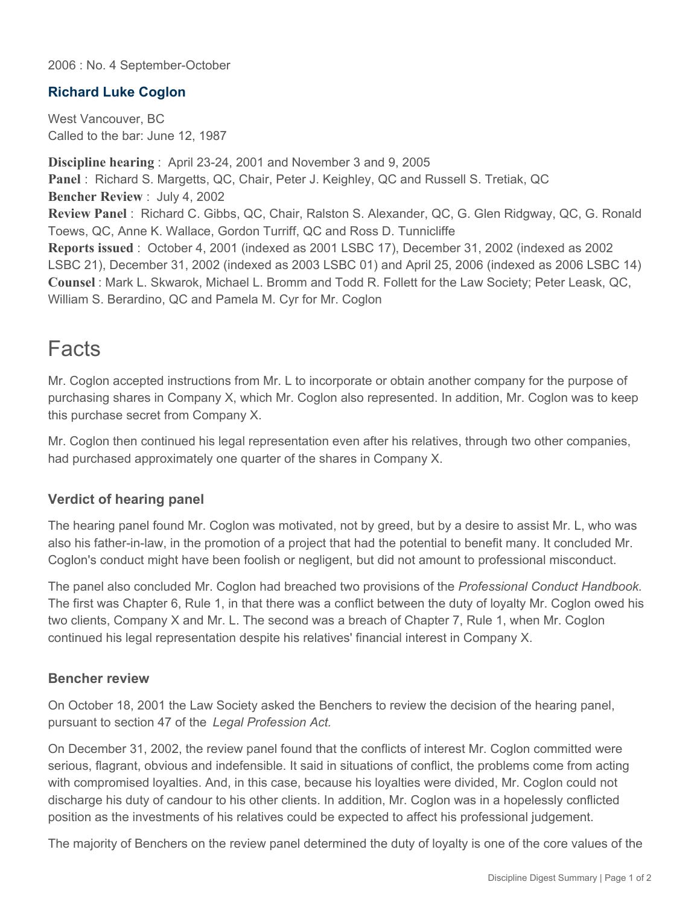#### **Richard Luke Coglon**

West Vancouver, BC Called to the bar: June 12, 1987

**Discipline hearing** : April 23-24, 2001 and November 3 and 9, 2005 **Panel** : Richard S. Margetts, QC, Chair, Peter J. Keighley, QC and Russell S. Tretiak, QC **Bencher Review** : July 4, 2002 **Review Panel** : Richard C. Gibbs, QC, Chair, Ralston S. Alexander, QC, G. Glen Ridgway, QC, G. Ronald Toews, QC, Anne K. Wallace, Gordon Turriff, QC and Ross D. Tunnicliffe **Reports issued** : October 4, 2001 (indexed as 2001 LSBC 17), December 31, 2002 (indexed as 2002 LSBC 21), December 31, 2002 (indexed as 2003 LSBC 01) and April 25, 2006 (indexed as 2006 LSBC 14) **Counsel** : Mark L. Skwarok, Michael L. Bromm and Todd R. Follett for the Law Society; Peter Leask, QC, William S. Berardino, QC and Pamela M. Cyr for Mr. Coglon

## Facts

Mr. Coglon accepted instructions from Mr. L to incorporate or obtain another company for the purpose of purchasing shares in Company X, which Mr. Coglon also represented. In addition, Mr. Coglon was to keep this purchase secret from Company X.

Mr. Coglon then continued his legal representation even after his relatives, through two other companies, had purchased approximately one quarter of the shares in Company X.

#### **Verdict of hearing panel**

The hearing panel found Mr. Coglon was motivated, not by greed, but by a desire to assist Mr. L, who was also his father-in-law, in the promotion of a project that had the potential to benefit many. It concluded Mr. Coglon's conduct might have been foolish or negligent, but did not amount to professional misconduct.

The panel also concluded Mr. Coglon had breached two provisions of the *Professional Conduct Handbook.*  The first was Chapter 6, Rule 1, in that there was a conflict between the duty of loyalty Mr. Coglon owed his two clients, Company X and Mr. L. The second was a breach of Chapter 7, Rule 1, when Mr. Coglon continued his legal representation despite his relatives' financial interest in Company X.

#### **Bencher review**

On October 18, 2001 the Law Society asked the Benchers to review the decision of the hearing panel, pursuant to section 47 of the *Legal Profession Act.*

On December 31, 2002, the review panel found that the conflicts of interest Mr. Coglon committed were serious, flagrant, obvious and indefensible. It said in situations of conflict, the problems come from acting with compromised loyalties. And, in this case, because his loyalties were divided, Mr. Coglon could not discharge his duty of candour to his other clients. In addition, Mr. Coglon was in a hopelessly conflicted position as the investments of his relatives could be expected to affect his professional judgement.

The majority of Benchers on the review panel determined the duty of loyalty is one of the core values of the